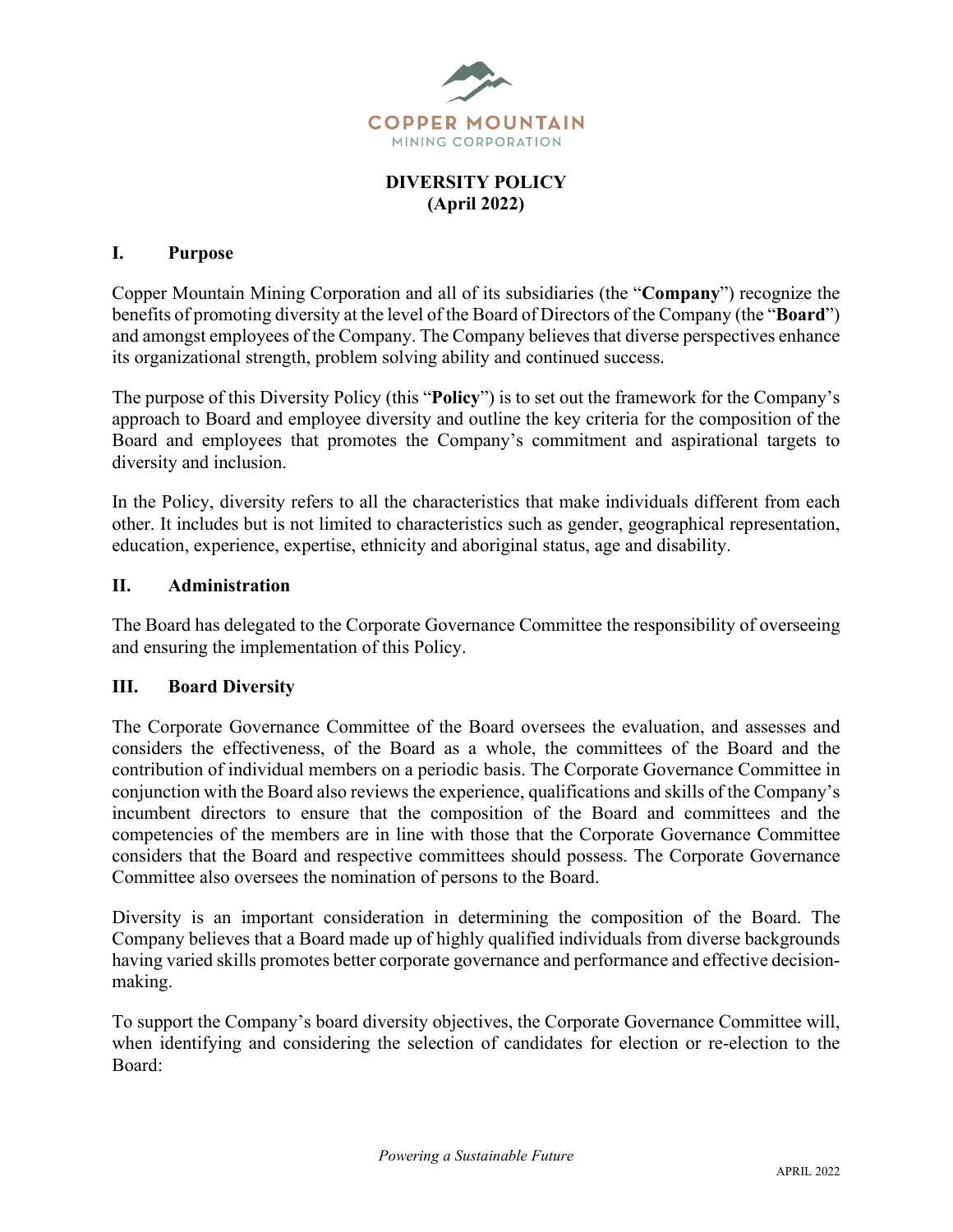

# **DIVERSITY POLICY (April 2022)**

### **I. Purpose**

Copper Mountain Mining Corporation and all of its subsidiaries (the "**Company**") recognize the benefits of promoting diversity at the level of the Board of Directors of the Company (the "**Board**") and amongst employees of the Company. The Company believes that diverse perspectives enhance its organizational strength, problem solving ability and continued success.

The purpose of this Diversity Policy (this "**Policy**") is to set out the framework for the Company's approach to Board and employee diversity and outline the key criteria for the composition of the Board and employees that promotes the Company's commitment and aspirational targets to diversity and inclusion.

In the Policy, diversity refers to all the characteristics that make individuals different from each other. It includes but is not limited to characteristics such as gender, geographical representation, education, experience, expertise, ethnicity and aboriginal status, age and disability.

### **II. Administration**

The Board has delegated to the Corporate Governance Committee the responsibility of overseeing and ensuring the implementation of this Policy.

### **III. Board Diversity**

The Corporate Governance Committee of the Board oversees the evaluation, and assesses and considers the effectiveness, of the Board as a whole, the committees of the Board and the contribution of individual members on a periodic basis. The Corporate Governance Committee in conjunction with the Board also reviews the experience, qualifications and skills of the Company's incumbent directors to ensure that the composition of the Board and committees and the competencies of the members are in line with those that the Corporate Governance Committee considers that the Board and respective committees should possess. The Corporate Governance Committee also oversees the nomination of persons to the Board.

Diversity is an important consideration in determining the composition of the Board. The Company believes that a Board made up of highly qualified individuals from diverse backgrounds having varied skills promotes better corporate governance and performance and effective decisionmaking.

To support the Company's board diversity objectives, the Corporate Governance Committee will, when identifying and considering the selection of candidates for election or re-election to the Board: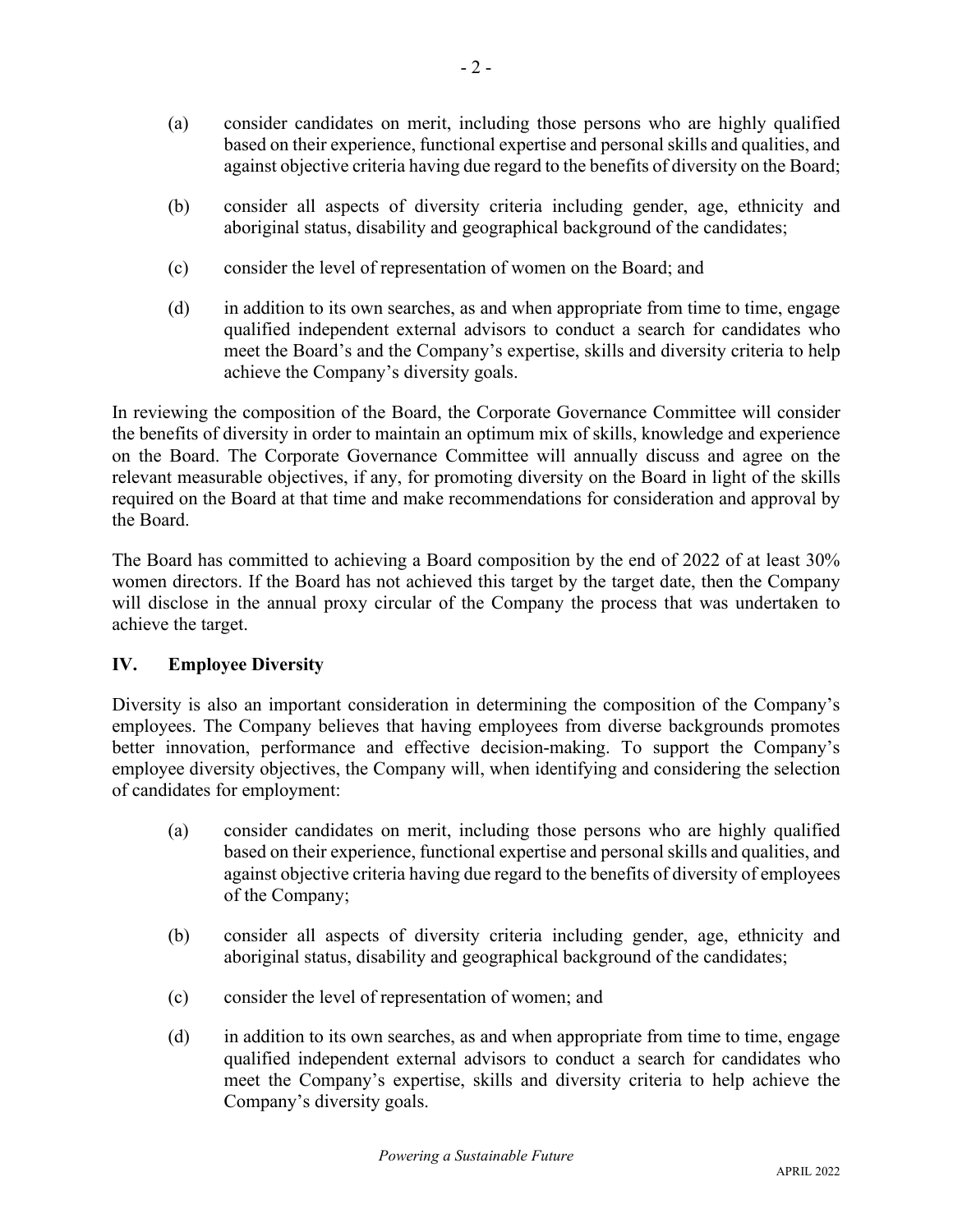- (a) consider candidates on merit, including those persons who are highly qualified based on their experience, functional expertise and personal skills and qualities, and against objective criteria having due regard to the benefits of diversity on the Board;
- (b) consider all aspects of diversity criteria including gender, age, ethnicity and aboriginal status, disability and geographical background of the candidates;
- (c) consider the level of representation of women on the Board; and
- (d) in addition to its own searches, as and when appropriate from time to time, engage qualified independent external advisors to conduct a search for candidates who meet the Board's and the Company's expertise, skills and diversity criteria to help achieve the Company's diversity goals.

In reviewing the composition of the Board, the Corporate Governance Committee will consider the benefits of diversity in order to maintain an optimum mix of skills, knowledge and experience on the Board. The Corporate Governance Committee will annually discuss and agree on the relevant measurable objectives, if any, for promoting diversity on the Board in light of the skills required on the Board at that time and make recommendations for consideration and approval by the Board.

The Board has committed to achieving a Board composition by the end of 2022 of at least 30% women directors. If the Board has not achieved this target by the target date, then the Company will disclose in the annual proxy circular of the Company the process that was undertaken to achieve the target.

## **IV. Employee Diversity**

Diversity is also an important consideration in determining the composition of the Company's employees. The Company believes that having employees from diverse backgrounds promotes better innovation, performance and effective decision-making. To support the Company's employee diversity objectives, the Company will, when identifying and considering the selection of candidates for employment:

- (a) consider candidates on merit, including those persons who are highly qualified based on their experience, functional expertise and personal skills and qualities, and against objective criteria having due regard to the benefits of diversity of employees of the Company;
- (b) consider all aspects of diversity criteria including gender, age, ethnicity and aboriginal status, disability and geographical background of the candidates;
- (c) consider the level of representation of women; and
- (d) in addition to its own searches, as and when appropriate from time to time, engage qualified independent external advisors to conduct a search for candidates who meet the Company's expertise, skills and diversity criteria to help achieve the Company's diversity goals.